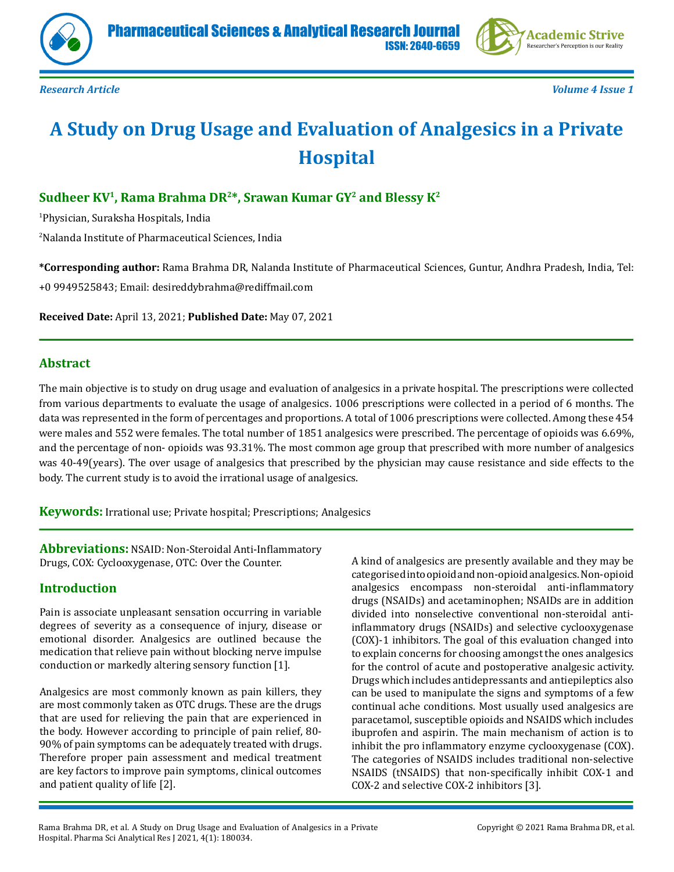



# **A Study on Drug Usage and Evaluation of Analgesics in a Private Hospital**

# **Sudheer KV1, Rama Brahma DR2\*, Srawan Kumar GY2 and Blessy K2**

1 Physician, Suraksha Hospitals, India

2 Nalanda Institute of Pharmaceutical Sciences, India

**\*Corresponding author:** Rama Brahma DR, Nalanda Institute of Pharmaceutical Sciences, Guntur, Andhra Pradesh, India, Tel: +0 9949525843; Email: desireddybrahma@rediffmail.com

**Received Date:** April 13, 2021; **Published Date:** May 07, 2021

# **Abstract**

The main objective is to study on drug usage and evaluation of analgesics in a private hospital. The prescriptions were collected from various departments to evaluate the usage of analgesics. 1006 prescriptions were collected in a period of 6 months. The data was represented in the form of percentages and proportions. A total of 1006 prescriptions were collected. Among these 454 were males and 552 were females. The total number of 1851 analgesics were prescribed. The percentage of opioids was 6.69%, and the percentage of non- opioids was 93.31%. The most common age group that prescribed with more number of analgesics was 40-49(years). The over usage of analgesics that prescribed by the physician may cause resistance and side effects to the body. The current study is to avoid the irrational usage of analgesics.

**Keywords:** Irrational use; Private hospital; Prescriptions; Analgesics

**Abbreviations:** NSAID: Non-Steroidal Anti-Inflammatory Drugs, COX: Cyclooxygenase, OTC: Over the Counter.

# **Introduction**

Pain is associate unpleasant sensation occurring in variable degrees of severity as a consequence of injury, disease or emotional disorder. Analgesics are outlined because the medication that relieve pain without blocking nerve impulse conduction or markedly altering sensory function [1].

Analgesics are most commonly known as pain killers, they are most commonly taken as OTC drugs. These are the drugs that are used for relieving the pain that are experienced in the body. However according to principle of pain relief, 80- 90% of pain symptoms can be adequately treated with drugs. Therefore proper pain assessment and medical treatment are key factors to improve pain symptoms, clinical outcomes and patient quality of life [2].

A kind of analgesics are presently available and they may be categorised into opioid and non-opioid analgesics. Non-opioid analgesics encompass non-steroidal anti-inflammatory drugs (NSAIDs) and acetaminophen; NSAIDs are in addition divided into nonselective conventional non-steroidal antiinflammatory drugs (NSAIDs) and selective cyclooxygenase (COX)-1 inhibitors. The goal of this evaluation changed into to explain concerns for choosing amongst the ones analgesics for the control of acute and postoperative analgesic activity. Drugs which includes antidepressants and antiepileptics also can be used to manipulate the signs and symptoms of a few continual ache conditions. Most usually used analgesics are paracetamol, susceptible opioids and NSAIDS which includes ibuprofen and aspirin. The main mechanism of action is to inhibit the pro inflammatory enzyme cyclooxygenase (COX). The categories of NSAIDS includes traditional non-selective NSAIDS (tNSAIDS) that non-specifically inhibit COX-1 and COX-2 and selective COX-2 inhibitors [3].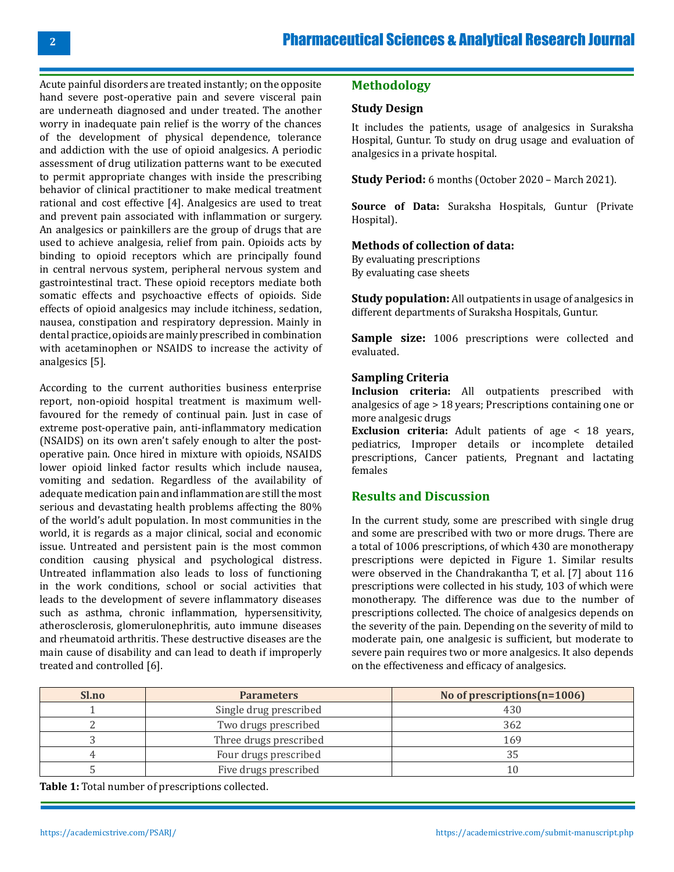Acute painful disorders are treated instantly; on the opposite hand severe post-operative pain and severe visceral pain are underneath diagnosed and under treated. The another worry in inadequate pain relief is the worry of the chances of the development of physical dependence, tolerance and addiction with the use of opioid analgesics. A periodic assessment of drug utilization patterns want to be executed to permit appropriate changes with inside the prescribing behavior of clinical practitioner to make medical treatment rational and cost effective [4]. Analgesics are used to treat and prevent pain associated with inflammation or surgery. An analgesics or painkillers are the group of drugs that are used to achieve analgesia, relief from pain. Opioids acts by binding to opioid receptors which are principally found in central nervous system, peripheral nervous system and gastrointestinal tract. These opioid receptors mediate both somatic effects and psychoactive effects of opioids. Side effects of opioid analgesics may include itchiness, sedation, nausea, constipation and respiratory depression. Mainly in dental practice, opioids are mainly prescribed in combination with acetaminophen or NSAIDS to increase the activity of analgesics [5].

According to the current authorities business enterprise report, non-opioid hospital treatment is maximum wellfavoured for the remedy of continual pain. Just in case of extreme post-operative pain, anti-inflammatory medication (NSAIDS) on its own aren't safely enough to alter the postoperative pain. Once hired in mixture with opioids, NSAIDS lower opioid linked factor results which include nausea, vomiting and sedation. Regardless of the availability of adequate medication pain and inflammation are still the most serious and devastating health problems affecting the 80% of the world's adult population. In most communities in the world, it is regards as a major clinical, social and economic issue. Untreated and persistent pain is the most common condition causing physical and psychological distress. Untreated inflammation also leads to loss of functioning in the work conditions, school or social activities that leads to the development of severe inflammatory diseases such as asthma, chronic inflammation, hypersensitivity, atherosclerosis, glomerulonephritis, auto immune diseases and rheumatoid arthritis. These destructive diseases are the main cause of disability and can lead to death if improperly treated and controlled [6].

## **Methodology**

#### **Study Design**

It includes the patients, usage of analgesics in Suraksha Hospital, Guntur. To study on drug usage and evaluation of analgesics in a private hospital.

**Study Period:** 6 months (October 2020 – March 2021).

**Source of Data:** Suraksha Hospitals, Guntur (Private Hospital).

#### **Methods of collection of data:**

By evaluating prescriptions By evaluating case sheets

**Study population:** All outpatients in usage of analgesics in different departments of Suraksha Hospitals, Guntur.

Sample size: 1006 prescriptions were collected and evaluated.

#### **Sampling Criteria**

**Inclusion criteria:** All outpatients prescribed with analgesics of age > 18 years; Prescriptions containing one or more analgesic drugs

**Exclusion criteria:** Adult patients of age < 18 years, pediatrics, Improper details or incomplete detailed prescriptions, Cancer patients, Pregnant and lactating females

#### **Results and Discussion**

In the current study, some are prescribed with single drug and some are prescribed with two or more drugs. There are a total of 1006 prescriptions, of which 430 are monotherapy prescriptions were depicted in Figure 1. Similar results were observed in the Chandrakantha T, et al. [7] about 116 prescriptions were collected in his study, 103 of which were monotherapy. The difference was due to the number of prescriptions collected. The choice of analgesics depends on the severity of the pain. Depending on the severity of mild to moderate pain, one analgesic is sufficient, but moderate to severe pain requires two or more analgesics. It also depends on the effectiveness and efficacy of analgesics.

| Sl.no | <b>Parameters</b>      | No of prescriptions (n=1006) |
|-------|------------------------|------------------------------|
|       | Single drug prescribed | 430                          |
|       | Two drugs prescribed   | 362                          |
|       | Three drugs prescribed |                              |
|       | Four drugs prescribed  |                              |
|       | Five drugs prescribed  |                              |

**Table 1:** Total number of prescriptions collected.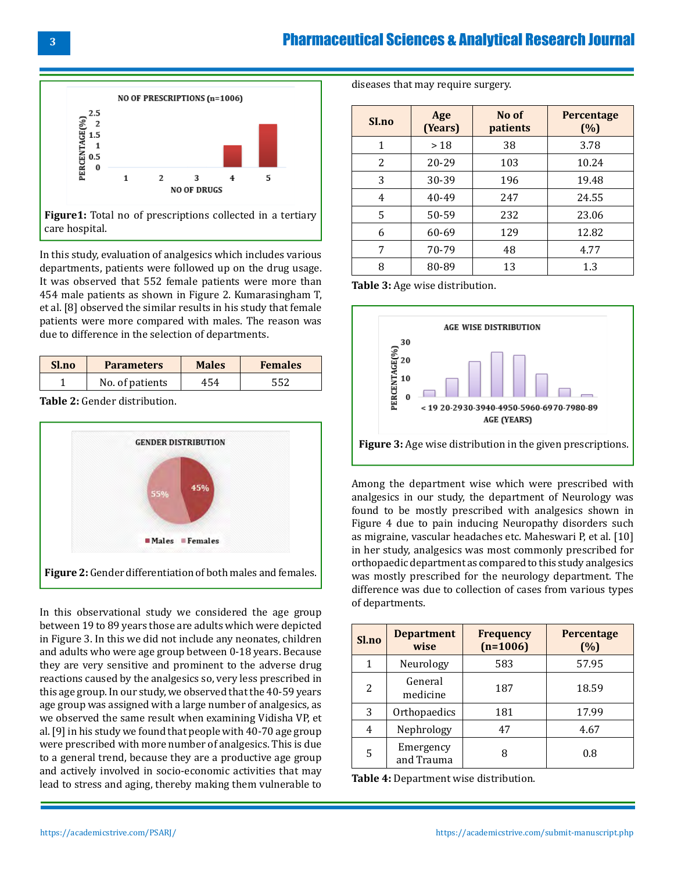# Pharmaceutical Sciences & Analytical Research Journal



In this study, evaluation of analgesics which includes various departments, patients were followed up on the drug usage. It was observed that 552 female patients were more than 454 male patients as shown in Figure 2. Kumarasingham T, et al. [8] observed the similar results in his study that female patients were more compared with males. The reason was due to difference in the selection of departments.

| Sl.no | <b>Parameters</b> | <b>Males</b> | <b>Females</b> |
|-------|-------------------|--------------|----------------|
|       | No. of patients   | 454          |                |

**Table 2:** Gender distribution.



In this observational study we considered the age group between 19 to 89 years those are adults which were depicted in Figure 3. In this we did not include any neonates, children and adults who were age group between 0-18 years. Because they are very sensitive and prominent to the adverse drug reactions caused by the analgesics so, very less prescribed in this age group. In our study, we observed that the 40-59 years age group was assigned with a large number of analgesics, as we observed the same result when examining Vidisha VP, et al. [9] in his study we found that people with 40-70 age group were prescribed with more number of analgesics. This is due to a general trend, because they are a productive age group and actively involved in socio-economic activities that may lead to stress and aging, thereby making them vulnerable to diseases that may require surgery.

| SI.no | Age<br>(Years) | No of<br>patients | <b>Percentage</b><br>(%) |
|-------|----------------|-------------------|--------------------------|
| 1     | >18            | 38                | 3.78                     |
| 2     | 20-29          | 103               | 10.24                    |
| 3     | 30-39          | 196               | 19.48                    |
| 4     | 40-49          | 247               | 24.55                    |
| 5     | 50-59          | 232               | 23.06                    |
| 6     | 60-69          | 129               | 12.82                    |
| 7     | 70-79          | 48                | 4.77                     |
| 8     | 80-89          | 13                | 1.3                      |

**Table 3:** Age wise distribution.



Among the department wise which were prescribed with analgesics in our study, the department of Neurology was found to be mostly prescribed with analgesics shown in Figure 4 due to pain inducing Neuropathy disorders such as migraine, vascular headaches etc. Maheswari P, et al. [10] in her study, analgesics was most commonly prescribed for orthopaedic department as compared to this study analgesics was mostly prescribed for the neurology department. The difference was due to collection of cases from various types of departments.

| Sl.no | <b>Department</b><br>wise | <b>Frequency</b><br>$(n=1006)$ | Percentage<br>(%) |
|-------|---------------------------|--------------------------------|-------------------|
| 1     | Neurology                 | 583                            | 57.95             |
| 2     | General<br>medicine       | 187                            | 18.59             |
| 3     | Orthopaedics              | 181                            | 17.99             |
| 4     | Nephrology                | 47                             | 4.67              |
| 5     | Emergency<br>and Trauma   | 8                              | 0.8               |

**Table 4:** Department wise distribution.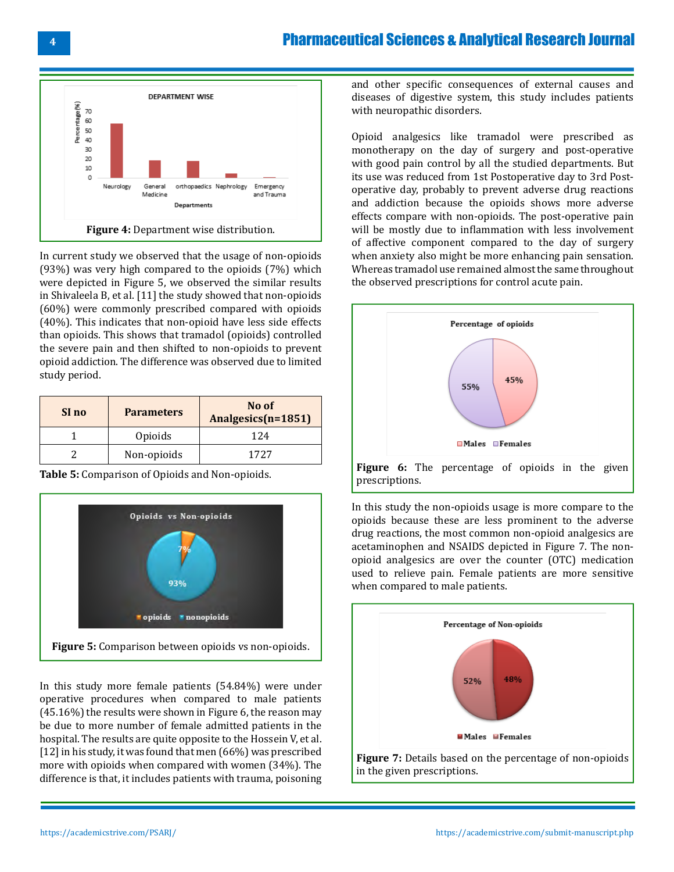# Pharmaceutical Sciences & Analytical Research Journal



In current study we observed that the usage of non-opioids (93%) was very high compared to the opioids (7%) which were depicted in Figure 5, we observed the similar results in Shivaleela B, et al. [11] the study showed that non-opioids (60%) were commonly prescribed compared with opioids (40%). This indicates that non-opioid have less side effects than opioids. This shows that tramadol (opioids) controlled the severe pain and then shifted to non-opioids to prevent opioid addiction. The difference was observed due to limited study period.

| SI no | <b>Parameters</b> | No of<br>Analgesics(n=1851) |
|-------|-------------------|-----------------------------|
|       | Opioids           | 124                         |
|       | Non-opioids       | 1727                        |

**Table 5:** Comparison of Opioids and Non-opioids.



In this study more female patients (54.84%) were under operative procedures when compared to male patients (45.16%) the results were shown in Figure 6, the reason may be due to more number of female admitted patients in the hospital. The results are quite opposite to the Hossein V, et al. [12] in his study, it was found that men (66%) was prescribed more with opioids when compared with women (34%). The difference is that, it includes patients with trauma, poisoning and other specific consequences of external causes and diseases of digestive system, this study includes patients with neuropathic disorders.

Opioid analgesics like tramadol were prescribed as monotherapy on the day of surgery and post-operative with good pain control by all the studied departments. But its use was reduced from 1st Postoperative day to 3rd Postoperative day, probably to prevent adverse drug reactions and addiction because the opioids shows more adverse effects compare with non-opioids. The post-operative pain will be mostly due to inflammation with less involvement of affective component compared to the day of surgery when anxiety also might be more enhancing pain sensation. Whereas tramadol use remained almost the same throughout the observed prescriptions for control acute pain.



In this study the non-opioids usage is more compare to the opioids because these are less prominent to the adverse drug reactions, the most common non-opioid analgesics are acetaminophen and NSAIDS depicted in Figure 7. The nonopioid analgesics are over the counter (OTC) medication used to relieve pain. Female patients are more sensitive when compared to male patients.

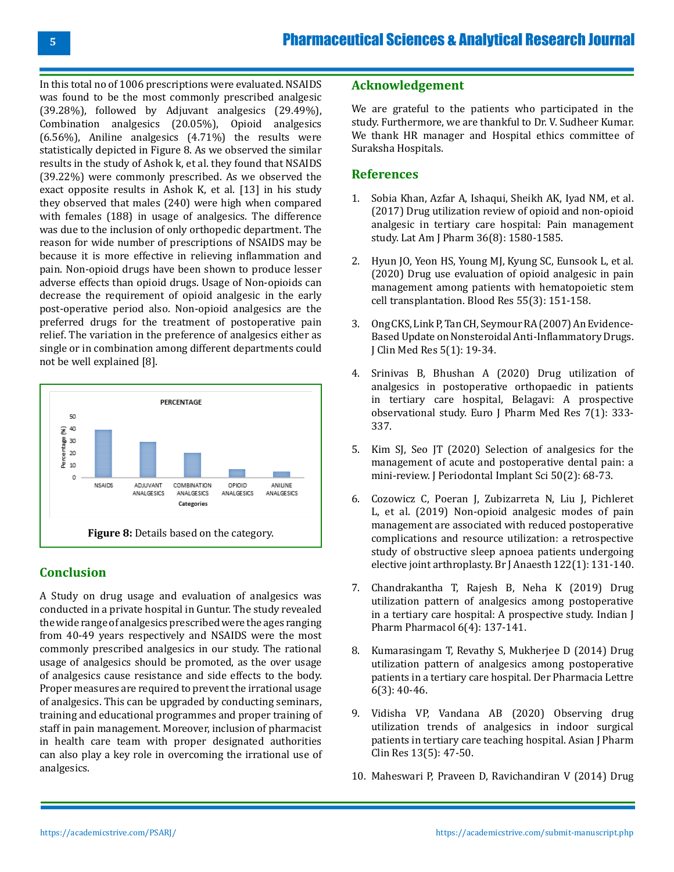In this total no of 1006 prescriptions were evaluated. NSAIDS was found to be the most commonly prescribed analgesic (39.28%), followed by Adjuvant analgesics (29.49%), Combination analgesics (20.05%), Opioid analgesics (6.56%), Aniline analgesics (4.71%) the results were statistically depicted in Figure 8. As we observed the similar results in the study of Ashok k, et al. they found that NSAIDS (39.22%) were commonly prescribed. As we observed the exact opposite results in Ashok K, et al. [13] in his study they observed that males (240) were high when compared with females (188) in usage of analgesics. The difference was due to the inclusion of only orthopedic department. The reason for wide number of prescriptions of NSAIDS may be because it is more effective in relieving inflammation and pain. Non-opioid drugs have been shown to produce lesser adverse effects than opioid drugs. Usage of Non-opioids can decrease the requirement of opioid analgesic in the early post-operative period also. Non-opioid analgesics are the preferred drugs for the treatment of postoperative pain relief. The variation in the preference of analgesics either as single or in combination among different departments could not be well explained [8].



# **Conclusion**

A Study on drug usage and evaluation of analgesics was conducted in a private hospital in Guntur. The study revealed the wide range of analgesics prescribed were the ages ranging from 40-49 years respectively and NSAIDS were the most commonly prescribed analgesics in our study. The rational usage of analgesics should be promoted, as the over usage of analgesics cause resistance and side effects to the body. Proper measures are required to prevent the irrational usage of analgesics. This can be upgraded by conducting seminars, training and educational programmes and proper training of staff in pain management. Moreover, inclusion of pharmacist in health care team with proper designated authorities can also play a key role in overcoming the irrational use of analgesics.

## **Acknowledgement**

We are grateful to the patients who participated in the study. Furthermore, we are thankful to Dr. V. Sudheer Kumar. We thank HR manager and Hospital ethics committee of Suraksha Hospitals.

## **References**

- 1. Sobia Khan, Azfar A, Ishaqui, Sheikh AK, Iyad NM, et al. (2017) Drug utilization review of opioid and non-opioid analgesic in tertiary care hospital: Pain management study. Lat Am J Pharm 36(8): 1580-1585.
- 2. [Hyun JO, Yeon HS, Young MJ, Kyung SC, Eunsook L, et al.](https://pubmed.ncbi.nlm.nih.gov/32883891/)  [\(2020\) Drug use evaluation of opioid analgesic in pain](https://pubmed.ncbi.nlm.nih.gov/32883891/)  [management among patients with hematopoietic stem](https://pubmed.ncbi.nlm.nih.gov/32883891/) [cell transplantation. Blood Res 55\(3\): 151-158.](https://pubmed.ncbi.nlm.nih.gov/32883891/)
- 3. [Ong CKS, Link P, Tan CH, Seymour RA \(2007\) An Evidence-](https://www.ncbi.nlm.nih.gov/pmc/articles/PMC1855338/)[Based Update on Nonsteroidal Anti-Inflammatory Drugs.](https://www.ncbi.nlm.nih.gov/pmc/articles/PMC1855338/) [J Clin Med Res 5\(1\): 19-34.](https://www.ncbi.nlm.nih.gov/pmc/articles/PMC1855338/)
- 4. [Srinivas B, Bhushan A \(2020\) Drug utilization of](https://storage.googleapis.com/journal-uploads/ejpmr/article_issue/1577787082.pdf) [analgesics in postoperative orthopaedic in patients](https://storage.googleapis.com/journal-uploads/ejpmr/article_issue/1577787082.pdf)  [in tertiary care hospital, Belagavi: A prospective](https://storage.googleapis.com/journal-uploads/ejpmr/article_issue/1577787082.pdf)  [observational study. Euro J Pharm Med Res 7\(1\): 333-](https://storage.googleapis.com/journal-uploads/ejpmr/article_issue/1577787082.pdf) [337.](https://storage.googleapis.com/journal-uploads/ejpmr/article_issue/1577787082.pdf)
- 5. [Kim SJ, Seo JT \(2020\) Selection of analgesics for the](https://www.ncbi.nlm.nih.gov/pmc/articles/PMC7192823/)  [management of acute and postoperative dental pain: a](https://www.ncbi.nlm.nih.gov/pmc/articles/PMC7192823/)  [mini-review. J Periodontal Implant Sci 50\(2\): 68-73.](https://www.ncbi.nlm.nih.gov/pmc/articles/PMC7192823/)
- 6. [Cozowicz C, Poeran J, Zubizarreta N, Liu J, Pichleret](https://pubmed.ncbi.nlm.nih.gov/30579391/)  [L, et al. \(2019\) Non-opioid analgesic modes of pain](https://pubmed.ncbi.nlm.nih.gov/30579391/)  [management are associated with reduced postoperative](https://pubmed.ncbi.nlm.nih.gov/30579391/) [complications and resource utilization: a retrospective](https://pubmed.ncbi.nlm.nih.gov/30579391/)  [study of obstructive sleep apnoea patients undergoing](https://pubmed.ncbi.nlm.nih.gov/30579391/) [elective joint arthroplasty. Br J Anaesth 122\(1\): 131-140.](https://pubmed.ncbi.nlm.nih.gov/30579391/)
- 7. [Chandrakantha T, Rajesh B, Neha K \(2019\) Drug](https://www.ijpp.org.in/article-details/10497) [utilization pattern of analgesics among postoperative](https://www.ijpp.org.in/article-details/10497) [in a tertiary care hospital: A prospective study. Indian J](https://www.ijpp.org.in/article-details/10497) [Pharm Pharmacol 6\(4\): 137-141.](https://www.ijpp.org.in/article-details/10497)
- 8. [Kumarasingam T, Revathy S, Mukherjee D \(2014\) Drug](https://www.scholarsresearchlibrary.com/articles/drug-utilization-pattern-of-analgesics-among-postoperative-patients-in-a-tertiary-care-hospital.pdf) [utilization pattern of analgesics among postoperative](https://www.scholarsresearchlibrary.com/articles/drug-utilization-pattern-of-analgesics-among-postoperative-patients-in-a-tertiary-care-hospital.pdf) [patients in a tertiary care hospital. Der Pharmacia Lettre](https://www.scholarsresearchlibrary.com/articles/drug-utilization-pattern-of-analgesics-among-postoperative-patients-in-a-tertiary-care-hospital.pdf)  [6\(3\): 40-46.](https://www.scholarsresearchlibrary.com/articles/drug-utilization-pattern-of-analgesics-among-postoperative-patients-in-a-tertiary-care-hospital.pdf)
- 9. [Vidisha VP, Vandana AB \(2020\) Observing drug](https://innovareacademics.in/journals/index.php/ajpcr/article/view/37062/22445)  [utilization trends of analgesics in indoor surgical](https://innovareacademics.in/journals/index.php/ajpcr/article/view/37062/22445)  [patients in tertiary care teaching hospital. Asian J Pharm](https://innovareacademics.in/journals/index.php/ajpcr/article/view/37062/22445) [Clin Res 13\(5\): 47-50.](https://innovareacademics.in/journals/index.php/ajpcr/article/view/37062/22445)
- 10. Maheswari P, Praveen D, Ravichandiran V (2014) Drug